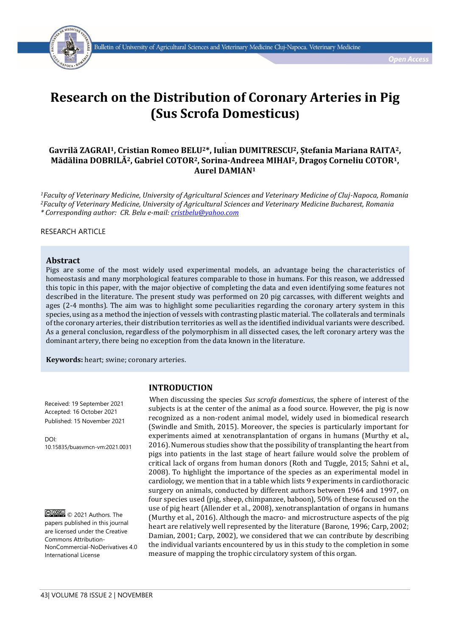

# **Research on the Distribution of Coronary Arteries in Pig (Sus Scrofa Domesticus)**

# *.* **Gavrilă ZAGRAI1, Cristian Romeo BELU2\*, Iulian DUMITRESCU2, Ștefania Mariana RAITA2, Mădălina DOBRILĂ2, Gabriel COTOR2, Sorina-Andreea MIHAI2, Dragoș Corneliu COTOR1, Aurel DAMIAN<sup>1</sup>**

*<sup>1</sup>Faculty of Veterinary Medicine, University of Agricultural Sciences and Veterinary Medicine of Cluj-Napoca, Romania <sup>2</sup>Faculty of Veterinary Medicine, University of Agricultural Sciences and Veterinary Medicine Bucharest, Romania \* Corresponding author: CR. Belu e-mail[: cristbelu@yahoo.com](mailto:cristbelu@yahoo.com)*

## RESEARCH ARTICLE

### **Abstract**

Pigs are some of the most widely used experimental models, an advantage being the characteristics of homeostasis and many morphological features comparable to those in humans. For this reason, we addressed this topic in this paper, with the major objective of completing the data and even identifying some features not described in the literature. The present study was performed on 20 pig carcasses, with different weights and ages (2-4 months). The aim was to highlight some peculiarities regarding the coronary artery system in this species, using as a method the injection of vessels with contrasting plastic material. The collaterals and terminals of the coronary arteries, their distribution territories as well as the identified individual variants were described. As a general conclusion, regardless of the polymorphism in all dissected cases, the left coronary artery was the dominant artery, there being no exception from the data known in the literature.

**INTRODUCTION**

**Keywords:** heart; swine; coronary arteries.

Received: 19 September 2021 Accepted: 16 October 2021 Published: 15 November 2021

DOI: 10.15835/buasvmcn-vm:2021.0031

© 000 © 2021 Authors. The papers published in this journal are licensed under the Creative Commons Attribution-NonCommercial-NoDerivatives 4.0 International License

When discussing the species *Sus scrofa domesticus*, the sphere of interest of the subjects is at the center of the animal as a food source. However, the pig is now recognized as a non-rodent animal model, widely used in biomedical research (Swindle and Smith, 2015). Moreover, the species is particularly important for experiments aimed at xenotransplantation of organs in humans (Murthy et al., 2016). Numerous studies show that the possibility of transplanting the heart from pigs into patients in the last stage of heart failure would solve the problem of critical lack of organs from human donors (Roth and Tuggle, 2015; Sahni et al., 2008). To highlight the importance of the species as an experimental model in cardiology, we mention that in a table which lists 9 experiments in cardiothoracic surgery on animals, conducted by different authors between 1964 and 1997, on four species used (pig, sheep, chimpanzee, baboon), 50% of these focused on the use of pig heart (Allender et al., 2008), xenotransplantation of organs in humans (Murthy et al., 2016). Although the macro- and microstructure aspects of the pig heart are relatively well represented by the literature (Barone, 1996; Carp, 2002; Damian, 2001; Carp, 2002), we considered that we can contribute by describing the individual variants encountered by us in this study to the completion in some measure of mapping the trophic circulatory system of this organ.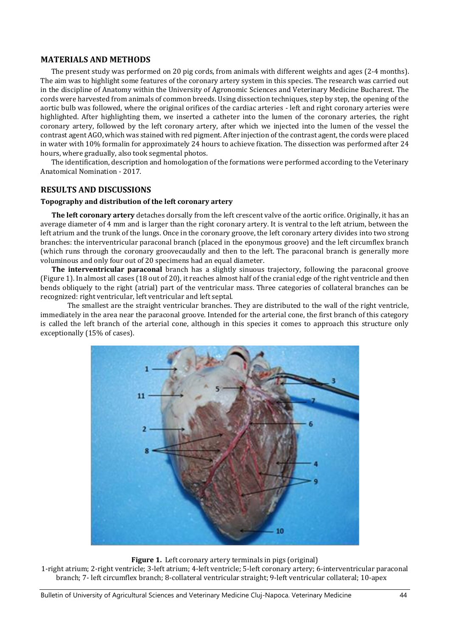## **MATERIALS AND METHODS**

The present study was performed on 20 pig cords, from animals with different weights and ages (2-4 months). The aim was to highlight some features of the coronary artery system in this species. The research was carried out in the discipline of Anatomy within the University of Agronomic Sciences and Veterinary Medicine Bucharest. The cords were harvested from animals of common breeds. Using dissection techniques, step by step, the opening of the aortic bulb was followed, where the original orifices of the cardiac arteries - left and right coronary arteries were highlighted. After highlighting them, we inserted a catheter into the lumen of the coronary arteries, the right coronary artery, followed by the left coronary artery, after which we injected into the lumen of the vessel the contrast agent AGO, which was stained with red pigment. After injection of the contrast agent, the cords were placed in water with 10% formalin for approximately 24 hours to achieve fixation. The dissection was performed after 24 hours, where gradually, also took segmental photos.

The identification, description and homologation of the formations were performed according to the Veterinary Anatomical Nomination - 2017.

## **RESULTS AND DISCUSSIONS**

#### **Topography and distribution of the left coronary artery**

**The left coronary artery** detaches dorsally from the left crescent valve of the aortic orifice. Originally, it has an average diameter of 4 mm and is larger than the right coronary artery. It is ventral to the left atrium, between the left atrium and the trunk of the lungs. Once in the coronary groove, the left coronary artery divides into two strong branches: the interventricular paraconal branch (placed in the eponymous groove) and the left circumflex branch (which runs through the coronary groovecaudally and then to the left. The paraconal branch is generally more voluminous and only four out of 20 specimens had an equal diameter.

**The interventricular paraconal** branch has a slightly sinuous trajectory, following the paraconal groove (Figure 1). In almost all cases (18 out of 20), it reaches almost half of the cranial edge of the right ventricle and then bends obliquely to the right (atrial) part of the ventricular mass. Three categories of collateral branches can be recognized: right ventricular, left ventricular and left septal.

The smallest are the straight ventricular branches. They are distributed to the wall of the right ventricle, immediately in the area near the paraconal groove. Intended for the arterial cone, the first branch of this category is called the left branch of the arterial cone, although in this species it comes to approach this structure only exceptionally (15% of cases).



#### **Figure 1.** Left coronary artery terminals in pigs (original)

1-right atrium; 2-right ventricle; 3-left atrium; 4-left ventricle; 5-left coronary artery; 6-interventricular paraconal branch; 7- left circumflex branch; 8-collateral ventricular straight; 9-left ventricular collateral; 10-apex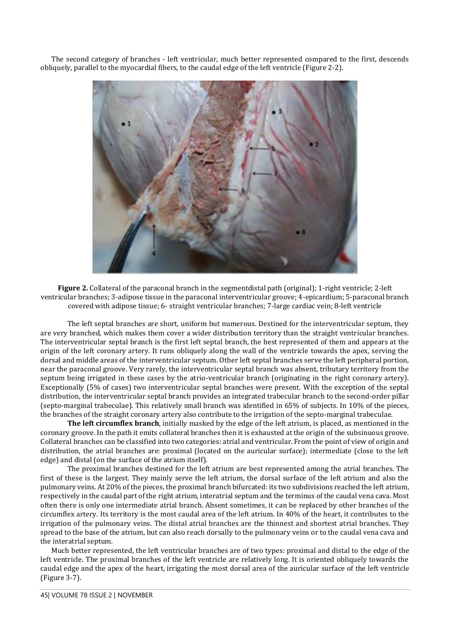The second category of branches - left ventricular, much better represented compared to the first, descends obliquely, parallel to the myocardial fibers, to the caudal edge of the left ventricle (Figure 2-2).



**Figure 2.** Collateral of the paraconal branch in the segmentdistal path (original); 1-right ventricle; 2-left ventricular branches; 3-adipose tissue in the paraconal interventricular groove; 4-epicardium; 5-paraconal branch covered with adipose tissue; 6- straight ventricular branches; 7-large cardiac vein; 8-left ventricle

The left septal branches are short, uniform but numerous. Destined for the interventricular septum, they are very branched, which makes them cover a wider distribution territory than the straight ventricular branches. The interventricular septal branch is the first left septal branch, the best represented of them and appears at the origin of the left coronary artery. It runs obliquely along the wall of the ventricle towards the apex, serving the dorsal and middle areas of the interventricular septum. Other left septal branches serve the left peripheral portion, near the paraconal groove. Very rarely, the interventricular septal branch was absent, tributary territory from the septum being irrigated in these cases by the atrio-ventricular branch (originating in the right coronary artery). Exceptionally (5% of cases) two interventricular septal branches were present. With the exception of the septal distribution, the interventricular septal branch provides an integrated trabecular branch to the second-order pillar (septo-marginal trabeculae). This relatively small branch was identified in 65% of subjects. In 10% of the pieces, the branches of the straight coronary artery also contribute to the irrigation of the septo-marginal trabeculae.

**The left circumflex branch**, initially masked by the edge of the left atrium, is placed, as mentioned in the coronary groove. In the path it emits collateral branches then it is exhausted at the origin of the subsinuous groove. Collateral branches can be classified into two categories: atrial and ventricular. From the point of view of origin and distribution, the atrial branches are: proximal (located on the auricular surface); intermediate (close to the left edge) and distal (on the surface of the atrium itself).

The proximal branches destined for the left atrium are best represented among the atrial branches. The first of these is the largest. They mainly serve the left atrium, the dorsal surface of the left atrium and also the pulmonary veins. At 20% of the pieces, the proximal branch bifurcated: its two subdivisions reached the left atrium, respectively in the caudal part of the right atrium, interatrial septum and the terminus of the caudal vena cava. Most often there is only one intermediate atrial branch. Absent sometimes, it can be replaced by other branches of the circumflex artery. Its territory is the most caudal area of the left atrium. In 40% of the heart, it contributes to the irrigation of the pulmonary veins. The distal atrial branches are the thinnest and shortest atrial branches. They spread to the base of the atrium, but can also reach dorsally to the pulmonary veins or to the caudal vena cava and the interatrial septum.

Much better represented, the left ventricular branches are of two types: proximal and distal to the edge of the left ventricle. The proximal branches of the left ventricle are relatively long. It is oriented obliquely towards the caudal edge and the apex of the heart, irrigating the most dorsal area of the auricular surface of the left ventricle (Figure 3-7).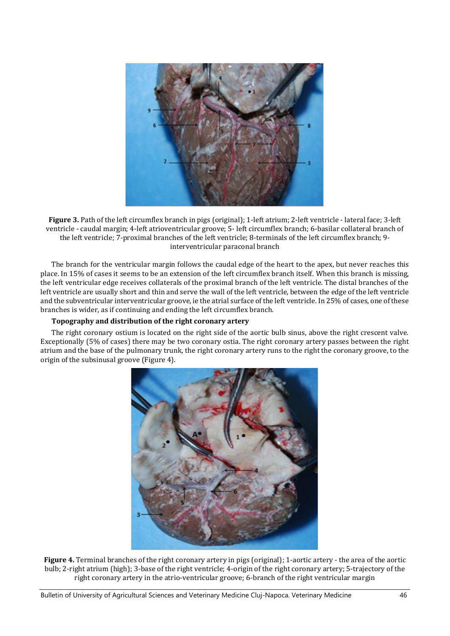

**Figure 3.** Path of the left circumflex branch in pigs (original); 1-left atrium; 2-left ventricle - lateral face; 3-left ventricle - caudal margin; 4-left atrioventricular groove; 5- left circumflex branch; 6-basilar collateral branch of the left ventricle; 7-proximal branches of the left ventricle; 8-terminals of the left circumflex branch; 9 interventricular paraconal branch

The branch for the ventricular margin follows the caudal edge of the heart to the apex, but never reaches this place. In 15% of cases it seems to be an extension of the left circumflex branch itself. When this branch is missing, the left ventricular edge receives collaterals of the proximal branch of the left ventricle. The distal branches of the left ventricle are usually short and thin and serve the wall of the left ventricle, between the edge of the left ventricle and the subventricular interventricular groove, ie the atrial surface of the left ventricle. In 25% of cases, one of these branches is wider, as if continuing and ending the left circumflex branch.

## **Topography and distribution of the right coronary artery**

The right coronary ostium is located on the right side of the aortic bulb sinus, above the right crescent valve. Exceptionally (5% of cases) there may be two coronary ostia. The right coronary artery passes between the right atrium and the base of the pulmonary trunk, the right coronary artery runs to the right the coronary groove, to the origin of the subsinusal groove (Figure 4).



**Figure 4.** Terminal branches of the right coronary artery in pigs (original); 1-aortic artery - the area of the aortic bulb; 2-right atrium (high); 3-base of the right ventricle; 4-origin of the right coronary artery; 5-trajectory of the right coronary artery in the atrio-ventricular groove; 6-branch of the right ventricular margin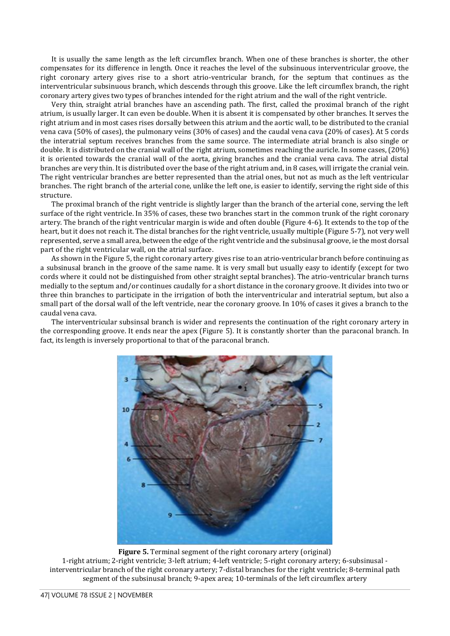It is usually the same length as the left circumflex branch. When one of these branches is shorter, the other compensates for its difference in length. Once it reaches the level of the subsinuous interventricular groove, the right coronary artery gives rise to a short atrio-ventricular branch, for the septum that continues as the interventricular subsinuous branch, which descends through this groove. Like the left circumflex branch, the right coronary artery gives two types of branches intended for the right atrium and the wall of the right ventricle.

Very thin, straight atrial branches have an ascending path. The first, called the proximal branch of the right atrium, is usually larger. It can even be double. When it is absent it is compensated by other branches. It serves the right atrium and in most cases rises dorsally between this atrium and the aortic wall, to be distributed to the cranial vena cava (50% of cases), the pulmonary veins (30% of cases) and the caudal vena cava (20% of cases). At 5 cords the interatrial septum receives branches from the same source. The intermediate atrial branch is also single or double. It is distributed on the cranial wall of the right atrium, sometimes reaching the auricle. In some cases,(20%) it is oriented towards the cranial wall of the aorta, giving branches and the cranial vena cava. The atrial distal branches are very thin. It is distributed over the base of the right atrium and, in 8 cases, will irrigate the cranial vein. The right ventricular branches are better represented than the atrial ones, but not as much as the left ventricular branches. The right branch of the arterial cone, unlike the left one, is easier to identify, serving the right side of this structure.

The proximal branch of the right ventricle is slightly larger than the branch of the arterial cone, serving the left surface of the right ventricle. In 35% of cases, these two branches start in the common trunk of the right coronary artery. The branch of the right ventricular margin is wide and often double (Figure 4-6). It extends to the top of the heart, but it does not reach it. The distal branches for the right ventricle, usually multiple (Figure 5-7), not very well represented, serve a small area, between the edge of the right ventricle and the subsinusal groove, ie the most dorsal part of the right ventricular wall, on the atrial surface.

As shown in the Figure 5, the right coronary artery gives rise to an atrio-ventricular branch before continuing as a subsinusal branch in the groove of the same name. It is very small but usually easy to identify (except for two cords where it could not be distinguished from other straight septal branches). The atrio-ventricular branch turns medially to the septum and/or continues caudally for a short distance in the coronary groove. It divides into two or three thin branches to participate in the irrigation of both the interventricular and interatrial septum, but also a small part of the dorsal wall of the left ventricle, near the coronary groove. In 10% of cases it gives a branch to the caudal vena cava.

The interventricular subsinsal branch is wider and represents the continuation of the right coronary artery in the corresponding groove. It ends near the apex (Figure 5). It is constantly shorter than the paraconal branch. In fact, its length is inversely proportional to that of the paraconal branch.



**Figure 5.** Terminal segment of the right coronary artery (original) 1-right atrium; 2-right ventricle; 3-left atrium; 4-left ventricle; 5-right coronary artery; 6-subsinusal interventricular branch of the right coronary artery; 7-distal branches for the right ventricle; 8-terminal path segment of the subsinusal branch; 9-apex area; 10-terminals of the left circumflex artery